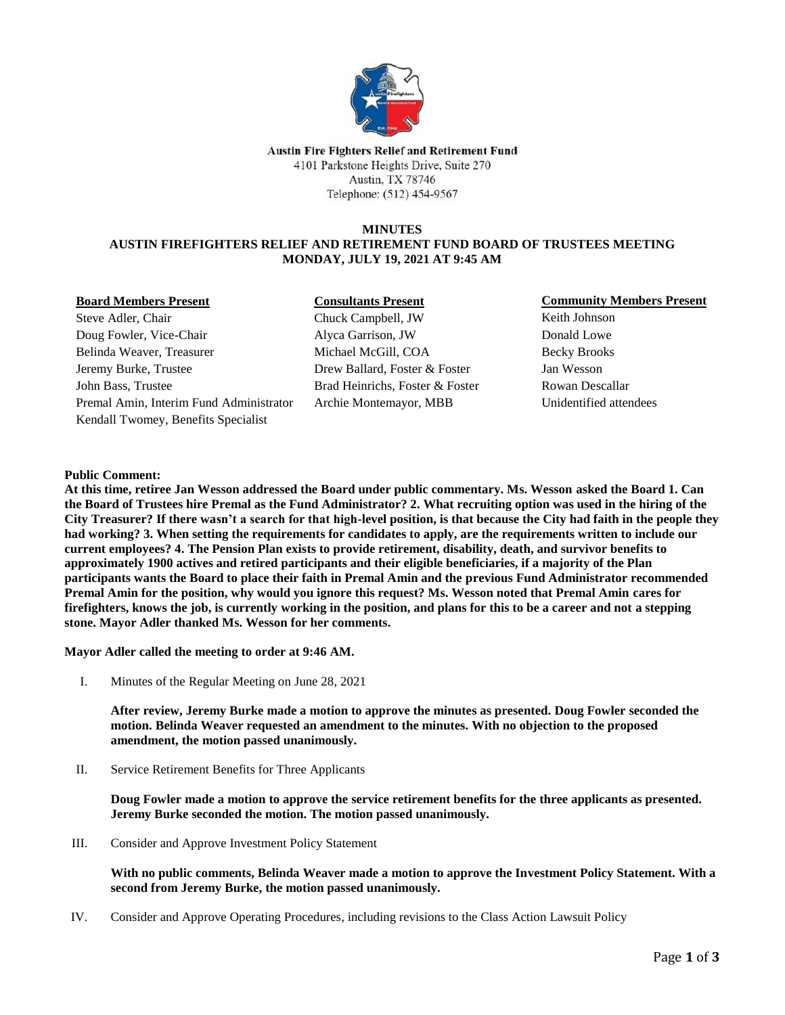

Austin Fire Fighters Relief and Retirement Fund 4101 Parkstone Heights Drive, Suite 270 Austin, TX 78746 Telephone: (512) 454-9567

#### **MINUTES AUSTIN FIREFIGHTERS RELIEF AND RETIREMENT FUND BOARD OF TRUSTEES MEETING MONDAY, JULY 19, 2021 AT 9:45 AM**

#### **Board Members Present**

Steve Adler, Chair Doug Fowler, Vice-Chair Belinda Weaver, Treasurer Jeremy Burke, Trustee John Bass, Trustee Premal Amin, Interim Fund Administrator Kendall Twomey, Benefits Specialist

# **Consultants Present**

Chuck Campbell, JW Alyca Garrison, JW Michael McGill, COA Drew Ballard, Foster & Foster Brad Heinrichs, Foster & Foster Archie Montemayor, MBB

### **Community Members Present**

Keith Johnson Donald Lowe Becky Brooks Jan Wesson Rowan Descallar Unidentified attendees

### **Public Comment:**

**At this time, retiree Jan Wesson addressed the Board under public commentary. Ms. Wesson asked the Board 1. Can the Board of Trustees hire Premal as the Fund Administrator? 2. What recruiting option was used in the hiring of the City Treasurer? If there wasn't a search for that high-level position, is that because the City had faith in the people they had working? 3. When setting the requirements for candidates to apply, are the requirements written to include our current employees? 4. The Pension Plan exists to provide retirement, disability, death, and survivor benefits to approximately 1900 actives and retired participants and their eligible beneficiaries, if a majority of the Plan participants wants the Board to place their faith in Premal Amin and the previous Fund Administrator recommended Premal Amin for the position, why would you ignore this request? Ms. Wesson noted that Premal Amin cares for firefighters, knows the job, is currently working in the position, and plans for this to be a career and not a stepping stone. Mayor Adler thanked Ms. Wesson for her comments.** 

**Mayor Adler called the meeting to order at 9:46 AM.**

I. Minutes of the Regular Meeting on June 28, 2021

**After review, Jeremy Burke made a motion to approve the minutes as presented. Doug Fowler seconded the motion. Belinda Weaver requested an amendment to the minutes. With no objection to the proposed amendment, the motion passed unanimously.**

II. Service Retirement Benefits for Three Applicants

**Doug Fowler made a motion to approve the service retirement benefits for the three applicants as presented. Jeremy Burke seconded the motion. The motion passed unanimously.**

III. Consider and Approve Investment Policy Statement

**With no public comments, Belinda Weaver made a motion to approve the Investment Policy Statement. With a second from Jeremy Burke, the motion passed unanimously.** 

IV. Consider and Approve Operating Procedures, including revisions to the Class Action Lawsuit Policy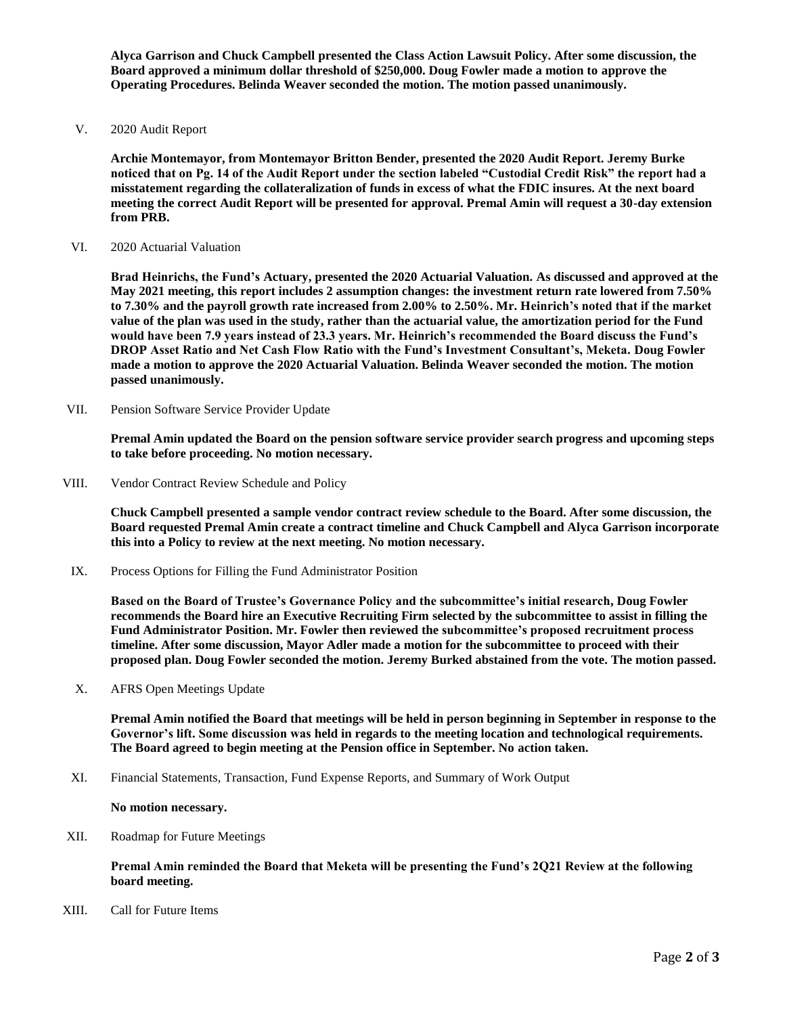**Alyca Garrison and Chuck Campbell presented the Class Action Lawsuit Policy. After some discussion, the Board approved a minimum dollar threshold of \$250,000. Doug Fowler made a motion to approve the Operating Procedures. Belinda Weaver seconded the motion. The motion passed unanimously.** 

V. 2020 Audit Report

**Archie Montemayor, from Montemayor Britton Bender, presented the 2020 Audit Report. Jeremy Burke noticed that on Pg. 14 of the Audit Report under the section labeled "Custodial Credit Risk" the report had a misstatement regarding the collateralization of funds in excess of what the FDIC insures. At the next board meeting the correct Audit Report will be presented for approval. Premal Amin will request a 30-day extension from PRB.**

VI. 2020 Actuarial Valuation

**Brad Heinrichs, the Fund's Actuary, presented the 2020 Actuarial Valuation. As discussed and approved at the May 2021 meeting, this report includes 2 assumption changes: the investment return rate lowered from 7.50% to 7.30% and the payroll growth rate increased from 2.00% to 2.50%. Mr. Heinrich's noted that if the market value of the plan was used in the study, rather than the actuarial value, the amortization period for the Fund would have been 7.9 years instead of 23.3 years. Mr. Heinrich's recommended the Board discuss the Fund's DROP Asset Ratio and Net Cash Flow Ratio with the Fund's Investment Consultant's, Meketa. Doug Fowler made a motion to approve the 2020 Actuarial Valuation. Belinda Weaver seconded the motion. The motion passed unanimously.** 

VII. Pension Software Service Provider Update

**Premal Amin updated the Board on the pension software service provider search progress and upcoming steps to take before proceeding. No motion necessary.** 

VIII. Vendor Contract Review Schedule and Policy

**Chuck Campbell presented a sample vendor contract review schedule to the Board. After some discussion, the Board requested Premal Amin create a contract timeline and Chuck Campbell and Alyca Garrison incorporate this into a Policy to review at the next meeting. No motion necessary.** 

IX. Process Options for Filling the Fund Administrator Position

**Based on the Board of Trustee's Governance Policy and the subcommittee's initial research, Doug Fowler recommends the Board hire an Executive Recruiting Firm selected by the subcommittee to assist in filling the Fund Administrator Position. Mr. Fowler then reviewed the subcommittee's proposed recruitment process timeline. After some discussion, Mayor Adler made a motion for the subcommittee to proceed with their proposed plan. Doug Fowler seconded the motion. Jeremy Burked abstained from the vote. The motion passed.**

X. AFRS Open Meetings Update

**Premal Amin notified the Board that meetings will be held in person beginning in September in response to the Governor's lift. Some discussion was held in regards to the meeting location and technological requirements. The Board agreed to begin meeting at the Pension office in September. No action taken.** 

XI. Financial Statements, Transaction, Fund Expense Reports, and Summary of Work Output

**No motion necessary.**

XII. Roadmap for Future Meetings

**Premal Amin reminded the Board that Meketa will be presenting the Fund's 2Q21 Review at the following board meeting.** 

XIII. Call for Future Items